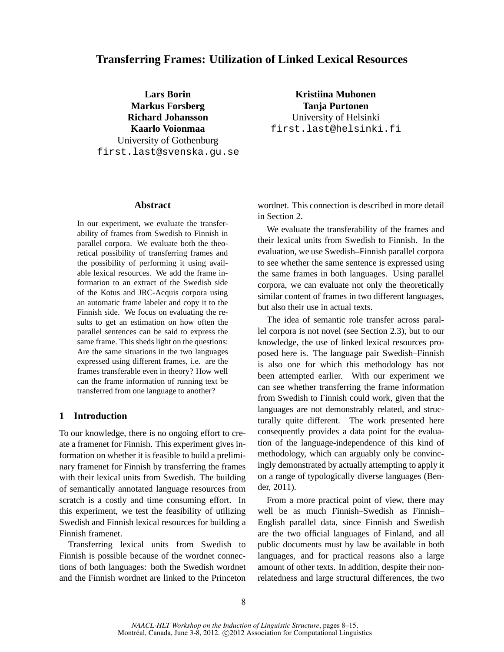# **Transferring Frames: Utilization of Linked Lexical Resources**

**Lars Borin Markus Forsberg Richard Johansson Kaarlo Voionmaa** University of Gothenburg first.last@svenska.gu.se

**Kristiina Muhonen Tanja Purtonen** University of Helsinki first.last@helsinki.fi

### **Abstract**

In our experiment, we evaluate the transferability of frames from Swedish to Finnish in parallel corpora. We evaluate both the theoretical possibility of transferring frames and the possibility of performing it using available lexical resources. We add the frame information to an extract of the Swedish side of the Kotus and JRC-Acquis corpora using an automatic frame labeler and copy it to the Finnish side. We focus on evaluating the results to get an estimation on how often the parallel sentences can be said to express the same frame. This sheds light on the questions: Are the same situations in the two languages expressed using different frames, i.e. are the frames transferable even in theory? How well can the frame information of running text be transferred from one language to another?

# **1 Introduction**

To our knowledge, there is no ongoing effort to create a framenet for Finnish. This experiment gives information on whether it is feasible to build a preliminary framenet for Finnish by transferring the frames with their lexical units from Swedish. The building of semantically annotated language resources from scratch is a costly and time consuming effort. In this experiment, we test the feasibility of utilizing Swedish and Finnish lexical resources for building a Finnish framenet.

Transferring lexical units from Swedish to Finnish is possible because of the wordnet connections of both languages: both the Swedish wordnet and the Finnish wordnet are linked to the Princeton wordnet. This connection is described in more detail in Section 2.

We evaluate the transferability of the frames and their lexical units from Swedish to Finnish. In the evaluation, we use Swedish–Finnish parallel corpora to see whether the same sentence is expressed using the same frames in both languages. Using parallel corpora, we can evaluate not only the theoretically similar content of frames in two different languages, but also their use in actual texts.

The idea of semantic role transfer across parallel corpora is not novel (see Section 2.3), but to our knowledge, the use of linked lexical resources proposed here is. The language pair Swedish–Finnish is also one for which this methodology has not been attempted earlier. With our experiment we can see whether transferring the frame information from Swedish to Finnish could work, given that the languages are not demonstrably related, and structurally quite different. The work presented here consequently provides a data point for the evaluation of the language-independence of this kind of methodology, which can arguably only be convincingly demonstrated by actually attempting to apply it on a range of typologically diverse languages (Bender, 2011).

From a more practical point of view, there may well be as much Finnish–Swedish as Finnish– English parallel data, since Finnish and Swedish are the two official languages of Finland, and all public documents must by law be available in both languages, and for practical reasons also a large amount of other texts. In addition, despite their nonrelatedness and large structural differences, the two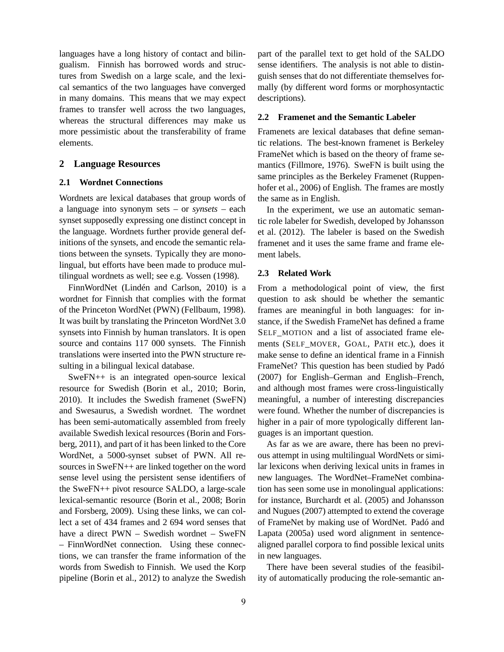languages have a long history of contact and bilingualism. Finnish has borrowed words and structures from Swedish on a large scale, and the lexical semantics of the two languages have converged in many domains. This means that we may expect frames to transfer well across the two languages, whereas the structural differences may make us more pessimistic about the transferability of frame elements.

### **2 Language Resources**

### **2.1 Wordnet Connections**

Wordnets are lexical databases that group words of a language into synonym sets – or *synsets* – each synset supposedly expressing one distinct concept in the language. Wordnets further provide general definitions of the synsets, and encode the semantic relations between the synsets. Typically they are monolingual, but efforts have been made to produce multilingual wordnets as well; see e.g. Vossen (1998).

FinnWordNet (Lindén and Carlson, 2010) is a wordnet for Finnish that complies with the format of the Princeton WordNet (PWN) (Fellbaum, 1998). It was built by translating the Princeton WordNet 3.0 synsets into Finnish by human translators. It is open source and contains 117 000 synsets. The Finnish translations were inserted into the PWN structure resulting in a bilingual lexical database.

SweFN++ is an integrated open-source lexical resource for Swedish (Borin et al., 2010; Borin, 2010). It includes the Swedish framenet (SweFN) and Swesaurus, a Swedish wordnet. The wordnet has been semi-automatically assembled from freely available Swedish lexical resources (Borin and Forsberg, 2011), and part of it has been linked to the Core WordNet, a 5000-synset subset of PWN. All resources in SweFN++ are linked together on the word sense level using the persistent sense identifiers of the SweFN++ pivot resource SALDO, a large-scale lexical-semantic resource (Borin et al., 2008; Borin and Forsberg, 2009). Using these links, we can collect a set of 434 frames and 2 694 word senses that have a direct PWN – Swedish wordnet – SweFN – FinnWordNet connection. Using these connections, we can transfer the frame information of the words from Swedish to Finnish. We used the Korp pipeline (Borin et al., 2012) to analyze the Swedish

part of the parallel text to get hold of the SALDO sense identifiers. The analysis is not able to distinguish senses that do not differentiate themselves formally (by different word forms or morphosyntactic descriptions).

### **2.2 Framenet and the Semantic Labeler**

Framenets are lexical databases that define semantic relations. The best-known framenet is Berkeley FrameNet which is based on the theory of frame semantics (Fillmore, 1976). SweFN is built using the same principles as the Berkeley Framenet (Ruppenhofer et al., 2006) of English. The frames are mostly the same as in English.

In the experiment, we use an automatic semantic role labeler for Swedish, developed by Johansson et al. (2012). The labeler is based on the Swedish framenet and it uses the same frame and frame element labels.

### **2.3 Related Work**

From a methodological point of view, the first question to ask should be whether the semantic frames are meaningful in both languages: for instance, if the Swedish FrameNet has defined a frame SELF\_MOTION and a list of associated frame elements (SELF\_MOVER, GOAL, PATH etc.), does it make sense to define an identical frame in a Finnish FrameNet? This question has been studied by Padó (2007) for English–German and English–French, and although most frames were cross-linguistically meaningful, a number of interesting discrepancies were found. Whether the number of discrepancies is higher in a pair of more typologically different languages is an important question.

As far as we are aware, there has been no previous attempt in using multilingual WordNets or similar lexicons when deriving lexical units in frames in new languages. The WordNet–FrameNet combination has seen some use in monolingual applications: for instance, Burchardt et al. (2005) and Johansson and Nugues (2007) attempted to extend the coverage of FrameNet by making use of WordNet. Padó and Lapata (2005a) used word alignment in sentencealigned parallel corpora to find possible lexical units in new languages.

There have been several studies of the feasibility of automatically producing the role-semantic an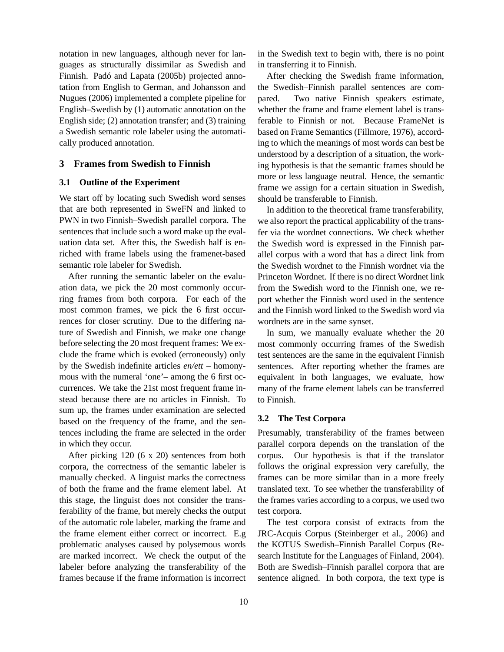notation in new languages, although never for languages as structurally dissimilar as Swedish and Finnish. Padó and Lapata (2005b) projected annotation from English to German, and Johansson and Nugues (2006) implemented a complete pipeline for English–Swedish by (1) automatic annotation on the English side; (2) annotation transfer; and (3) training a Swedish semantic role labeler using the automatically produced annotation.

### **3 Frames from Swedish to Finnish**

### **3.1 Outline of the Experiment**

We start off by locating such Swedish word senses that are both represented in SweFN and linked to PWN in two Finnish–Swedish parallel corpora. The sentences that include such a word make up the evaluation data set. After this, the Swedish half is enriched with frame labels using the framenet-based semantic role labeler for Swedish.

After running the semantic labeler on the evaluation data, we pick the 20 most commonly occurring frames from both corpora. For each of the most common frames, we pick the 6 first occurrences for closer scrutiny. Due to the differing nature of Swedish and Finnish, we make one change before selecting the 20 most frequent frames: We exclude the frame which is evoked (erroneously) only by the Swedish indefinite articles *en/ett* – homonymous with the numeral 'one'– among the 6 first occurrences. We take the 21st most frequent frame instead because there are no articles in Finnish. To sum up, the frames under examination are selected based on the frequency of the frame, and the sentences including the frame are selected in the order in which they occur.

After picking 120 (6 x 20) sentences from both corpora, the correctness of the semantic labeler is manually checked. A linguist marks the correctness of both the frame and the frame element label. At this stage, the linguist does not consider the transferability of the frame, but merely checks the output of the automatic role labeler, marking the frame and the frame element either correct or incorrect. E.g problematic analyses caused by polysemous words are marked incorrect. We check the output of the labeler before analyzing the transferability of the frames because if the frame information is incorrect

10

in the Swedish text to begin with, there is no point in transferring it to Finnish.

After checking the Swedish frame information, the Swedish–Finnish parallel sentences are compared. Two native Finnish speakers estimate, whether the frame and frame element label is transferable to Finnish or not. Because FrameNet is based on Frame Semantics (Fillmore, 1976), according to which the meanings of most words can best be understood by a description of a situation, the working hypothesis is that the semantic frames should be more or less language neutral. Hence, the semantic frame we assign for a certain situation in Swedish, should be transferable to Finnish.

In addition to the theoretical frame transferability, we also report the practical applicability of the transfer via the wordnet connections. We check whether the Swedish word is expressed in the Finnish parallel corpus with a word that has a direct link from the Swedish wordnet to the Finnish wordnet via the Princeton Wordnet. If there is no direct Wordnet link from the Swedish word to the Finnish one, we report whether the Finnish word used in the sentence and the Finnish word linked to the Swedish word via wordnets are in the same synset.

In sum, we manually evaluate whether the 20 most commonly occurring frames of the Swedish test sentences are the same in the equivalent Finnish sentences. After reporting whether the frames are equivalent in both languages, we evaluate, how many of the frame element labels can be transferred to Finnish.

#### **3.2 The Test Corpora**

Presumably, transferability of the frames between parallel corpora depends on the translation of the corpus. Our hypothesis is that if the translator follows the original expression very carefully, the frames can be more similar than in a more freely translated text. To see whether the transferability of the frames varies according to a corpus, we used two test corpora.

The test corpora consist of extracts from the JRC-Acquis Corpus (Steinberger et al., 2006) and the KOTUS Swedish–Finnish Parallel Corpus (Research Institute for the Languages of Finland, 2004). Both are Swedish–Finnish parallel corpora that are sentence aligned. In both corpora, the text type is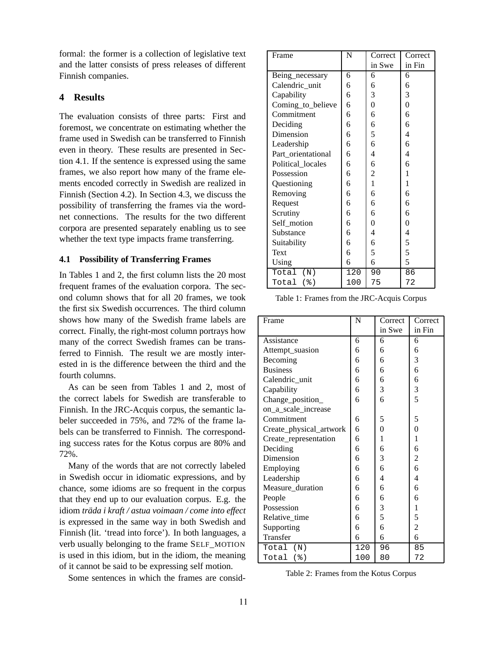formal: the former is a collection of legislative text and the latter consists of press releases of different Finnish companies.

## **4 Results**

The evaluation consists of three parts: First and foremost, we concentrate on estimating whether the frame used in Swedish can be transferred to Finnish even in theory. These results are presented in Section 4.1. If the sentence is expressed using the same frames, we also report how many of the frame elements encoded correctly in Swedish are realized in Finnish (Section 4.2). In Section 4.3, we discuss the possibility of transferring the frames via the wordnet connections. The results for the two different corpora are presented separately enabling us to see whether the text type impacts frame transferring.

### **4.1 Possibility of Transferring Frames**

In Tables 1 and 2, the first column lists the 20 most frequent frames of the evaluation corpora. The second column shows that for all 20 frames, we took the first six Swedish occurrences. The third column shows how many of the Swedish frame labels are correct. Finally, the right-most column portrays how many of the correct Swedish frames can be transferred to Finnish. The result we are mostly interested in is the difference between the third and the fourth columns.

As can be seen from Tables 1 and 2, most of the correct labels for Swedish are transferable to Finnish. In the JRC-Acquis corpus, the semantic labeler succeeded in 75%, and 72% of the frame labels can be transferred to Finnish. The corresponding success rates for the Kotus corpus are 80% and 72%.

Many of the words that are not correctly labeled in Swedish occur in idiomatic expressions, and by chance, some idioms are so frequent in the corpus that they end up to our evaluation corpus. E.g. the idiom *träda i kraft / astua voimaan / come into effect* is expressed in the same way in both Swedish and Finnish (lit. 'tread into force'). In both languages, a verb usually belonging to the frame SELF\_MOTION is used in this idiom, but in the idiom, the meaning of it cannot be said to be expressing self motion.

Some sentences in which the frames are consid-

| Frame              | N   | Correct      | Correct          |
|--------------------|-----|--------------|------------------|
|                    |     | in Swe       | in Fin           |
| Being_necessary    | 6   | 6            | 6                |
| Calendric_unit     | 6   | 6            | 6                |
| Capability         | 6   | 3            | 3                |
| Coming_to_believe  | 6   | 0            | $\boldsymbol{0}$ |
| Commitment         | 6   | 6            | 6                |
| Deciding           | 6   | 6            | 6                |
| Dimension          | 6   | 5            | $\overline{4}$   |
| Leadership         | 6   | 6            | 6                |
| Part_orientational | 6   | 4            | $\overline{4}$   |
| Political_locales  | 6   | 6            | 6                |
| Possession         | 6   | 2            | 1                |
| Questioning        | 6   | $\mathbf{1}$ | $\mathbf{1}$     |
| Removing           | 6   | 6            | 6                |
| Request            | 6   | 6            | 6                |
| Scrutiny           | 6   | 6            | 6                |
| Self_motion        | 6   | 0            | $\boldsymbol{0}$ |
| Substance          | 6   | 4            | 4                |
| Suitability        | 6   | 6            | 5                |
| Text               | 6   | 5            | 5                |
| Using              | 6   | 6            | 5                |
| Total<br>(N)       | 120 | 90           | 86               |
| Total<br>$($ % $)$ | 100 | 75           | 72               |

Table 1: Frames from the JRC-Acquis Corpus

| Frame                   | N   | Correct  | Correct        |
|-------------------------|-----|----------|----------------|
|                         |     | in Swe   | in Fin         |
| Assistance              | 6   | 6        | 6              |
| Attempt_suasion         | 6   | 6        | 6              |
| Becoming                | 6   | 6        | 3              |
| <b>Business</b>         | 6   | 6        | 6              |
| Calendric_unit          | 6   | 6        | 6              |
| Capability              | 6   | 3        | 3              |
| Change_position_        | 6   | 6        | 5              |
| on_a_scale_increase     |     |          |                |
| Commitment              | 6   | 5        | 5              |
| Create_physical_artwork | 6   | $\theta$ | $\theta$       |
| Create_representation   | 6   | 1        | 1              |
| Deciding                | 6   | 6        | 6              |
| Dimension               | 6   | 3        | 2              |
| Employing               | 6   | 6        | 6              |
| Leadership              | 6   | 4        | $\overline{4}$ |
| Measure_duration        | 6   | 6        | 6              |
| People                  | 6   | 6        | 6              |
| Possession              | 6   | 3        | 1              |
| Relative_time           | 6   | 5        | 5              |
| Supporting              | 6   | 6        | $\overline{c}$ |
| Transfer                | 6   | 6        | 6              |
| Total (N)               | 120 | 96       | 85             |
| Total $(\frac{1}{6})$   | 100 | 80       | 72             |

Table 2: Frames from the Kotus Corpus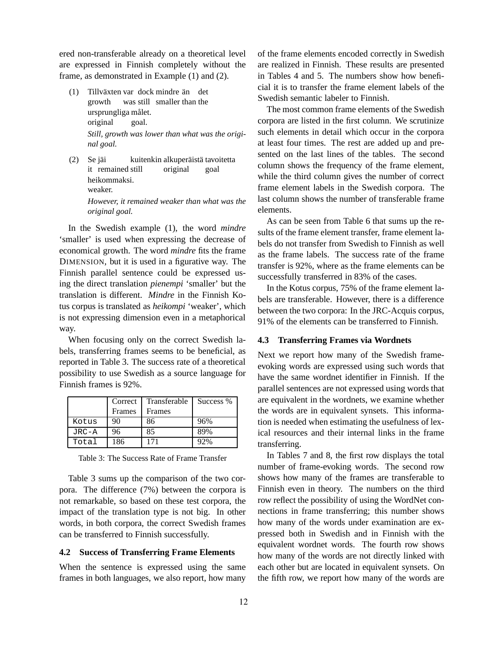ered non-transferable already on a theoretical level are expressed in Finnish completely without the frame, as demonstrated in Example (1) and (2).

- (1) Tillväxten var dock mindre än det growth was still smaller than the ursprungliga målet. original goal. *Still, growth was lower than what was the original goal.*
- (2) Se jäi it remained still kuitenkin alkuperäistä tavoitetta original goal heikommaksi. weaker. *However, it remained weaker than what was the original goal.*

In the Swedish example (1), the word *mindre* 'smaller' is used when expressing the decrease of economical growth. The word *mindre* fits the frame DIMENSION, but it is used in a figurative way. The Finnish parallel sentence could be expressed using the direct translation *pienempi* 'smaller' but the translation is different. *Mindre* in the Finnish Kotus corpus is translated as *heikompi* 'weaker', which is not expressing dimension even in a metaphorical way.

When focusing only on the correct Swedish labels, transferring frames seems to be beneficial, as reported in Table 3. The success rate of a theoretical possibility to use Swedish as a source language for Finnish frames is 92%.

|           | Correct | Transferable | Success % |
|-----------|---------|--------------|-----------|
|           | Frames  | Frames       |           |
| Kotus     | 90      | 86           | 96%       |
| $JRC - A$ | 96      | 85           | 89%       |
| Total     | 186     | 171          | 92%       |

Table 3: The Success Rate of Frame Transfer

Table 3 sums up the comparison of the two corpora. The difference (7%) between the corpora is not remarkable, so based on these test corpora, the impact of the translation type is not big. In other words, in both corpora, the correct Swedish frames can be transferred to Finnish successfully.

### **4.2 Success of Transferring Frame Elements**

When the sentence is expressed using the same frames in both languages, we also report, how many

of the frame elements encoded correctly in Swedish are realized in Finnish. These results are presented in Tables 4 and 5. The numbers show how beneficial it is to transfer the frame element labels of the Swedish semantic labeler to Finnish.

The most common frame elements of the Swedish corpora are listed in the first column. We scrutinize such elements in detail which occur in the corpora at least four times. The rest are added up and presented on the last lines of the tables. The second column shows the frequency of the frame element, while the third column gives the number of correct frame element labels in the Swedish corpora. The last column shows the number of transferable frame elements.

As can be seen from Table 6 that sums up the results of the frame element transfer, frame element labels do not transfer from Swedish to Finnish as well as the frame labels. The success rate of the frame transfer is 92%, where as the frame elements can be successfully transferred in 83% of the cases.

In the Kotus corpus, 75% of the frame element labels are transferable. However, there is a difference between the two corpora: In the JRC-Acquis corpus, 91% of the elements can be transferred to Finnish.

### **4.3 Transferring Frames via Wordnets**

Next we report how many of the Swedish frameevoking words are expressed using such words that have the same wordnet identifier in Finnish. If the parallel sentences are not expressed using words that are equivalent in the wordnets, we examine whether the words are in equivalent synsets. This information is needed when estimating the usefulness of lexical resources and their internal links in the frame transferring.

In Tables 7 and 8, the first row displays the total number of frame-evoking words. The second row shows how many of the frames are transferable to Finnish even in theory. The numbers on the third row reflect the possibility of using the WordNet connections in frame transferring; this number shows how many of the words under examination are expressed both in Swedish and in Finnish with the equivalent wordnet words. The fourth row shows how many of the words are not directly linked with each other but are located in equivalent synsets. On the fifth row, we report how many of the words are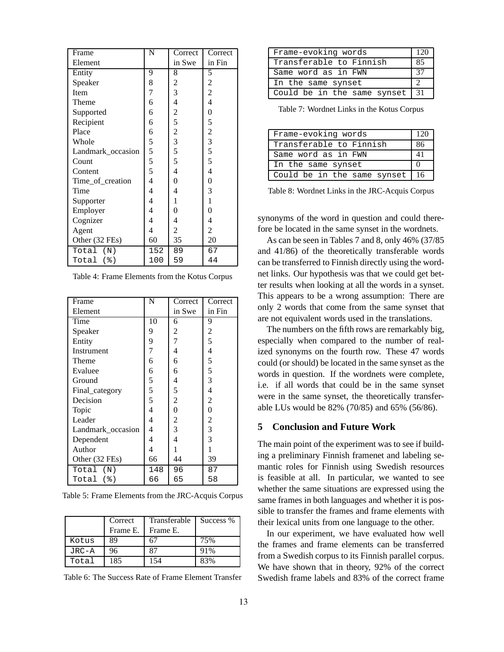| Frame             | N   | Correct                 | Correct        |
|-------------------|-----|-------------------------|----------------|
| Element           |     | in Swe                  | in Fin         |
| Entity            | 9   | 8                       | 5              |
| Speaker           | 8   | $\overline{\mathbf{c}}$ | $\overline{c}$ |
| Item              | 7   | $\overline{3}$          | $\overline{c}$ |
| Theme             | 6   | 4                       | 4              |
| Supported         | 6   | $\overline{\mathbf{c}}$ | $\overline{0}$ |
| Recipient         | 6   | 5                       | 5              |
| Place             | 6   | $\overline{c}$          | $\overline{c}$ |
| Whole             | 5   | 3                       | 3              |
| Landmark_occasion | 5   | 5                       | 5              |
| Count             | 5   | 5                       | 5              |
| Content           | 5   | 4                       | 4              |
| Time_of_creation  | 4   | $\overline{0}$          | 0              |
| Time              | 4   | 4                       | 3              |
| Supporter         | 4   | 1                       | 1              |
| Employer          | 4   | 0                       | $\overline{0}$ |
| Cognizer          | 4   | 4                       | 4              |
| Agent             | 4   | 2                       | $\overline{c}$ |
| Other (32 FEs)    | 60  | 35                      | 20             |
| Total (N)         | 152 | 89                      | 67             |
| Total<br>$($ $)$  | 100 | 59                      | 44             |

| Frame                 | N   | Correct        | Correct        |
|-----------------------|-----|----------------|----------------|
| Element               |     | in Swe         | in Fin         |
| Time                  | 10  | 6              | 9              |
| Speaker               | 9   | 2              | 2              |
| Entity                | 9   | 7              | 5              |
| Instrument            | 7   | 4              | 4              |
| Theme                 | 6   | 6              | 5              |
| Evaluee               | 6   | 6              | 5              |
| Ground                | 5   | 4              | 3              |
| Final_category        | 5   | 5              | 4              |
| Decision              | 5   | $\overline{c}$ | $\overline{2}$ |
| Topic                 | 4   | 0              | 0              |
| Leader                | 4   | 2              | $\overline{c}$ |
| Landmark_occasion     | 4   | 3              | 3              |
| Dependent             | 4   | 4              | 3              |
| Author                | 4   | 1              |                |
| Other (32 FEs)        | 66  | 44             | 39             |
| Total (N)             | 148 | 96             | 87             |
| Total $(\frac{1}{6})$ | 66  | 65             | 58             |

Table 5: Frame Elements from the JRC-Acquis Corpus

|           | Correct<br>Frame E. | Transferable   Success %<br>Frame E. |     |
|-----------|---------------------|--------------------------------------|-----|
| Kotus     | 89                  |                                      | 75% |
| $JRC - A$ | 96                  |                                      | 91% |
| Total     | 185                 | -54                                  | 83% |

Table 6: The Success Rate of Frame Element Transfer

| Frame-evoking words         |    |  |
|-----------------------------|----|--|
| Transferable to Finnish     | 85 |  |
| Same word as in FWN         | 37 |  |
| In the same synset          |    |  |
| Could be in the same synset | 31 |  |

Table 7: Wordnet Links in the Kotus Corpus

| Frame-evoking words                      |    |
|------------------------------------------|----|
| Transferable to Finnish                  | 86 |
| Same word as in FWN                      |    |
| In the same synset                       |    |
| Could be in the same synset $ 16\rangle$ |    |

Table 8: Wordnet Links in the JRC-Acquis Corpus

synonyms of the word in question and could therefore be located in the same synset in the wordnets.

As can be seen in Tables 7 and 8, only 46% (37/85 and 41/86) of the theoretically transferable words can be transferred to Finnish directly using the wordnet links. Our hypothesis was that we could get better results when looking at all the words in a synset. This appears to be a wrong assumption: There are only 2 words that come from the same synset that are not equivalent words used in the translations.

The numbers on the fifth rows are remarkably big, especially when compared to the number of realized synonyms on the fourth row. These 47 words could (or should) be located in the same synset as the words in question. If the wordnets were complete, i.e. if all words that could be in the same synset were in the same synset, the theoretically transferable LUs would be 82% (70/85) and 65% (56/86).

### **5 Conclusion and Future Work**

The main point of the experiment was to see if building a preliminary Finnish framenet and labeling semantic roles for Finnish using Swedish resources is feasible at all. In particular, we wanted to see whether the same situations are expressed using the same frames in both languages and whether it is possible to transfer the frames and frame elements with their lexical units from one language to the other.

In our experiment, we have evaluated how well the frames and frame elements can be transferred from a Swedish corpus to its Finnish parallel corpus. We have shown that in theory, 92% of the correct Swedish frame labels and 83% of the correct frame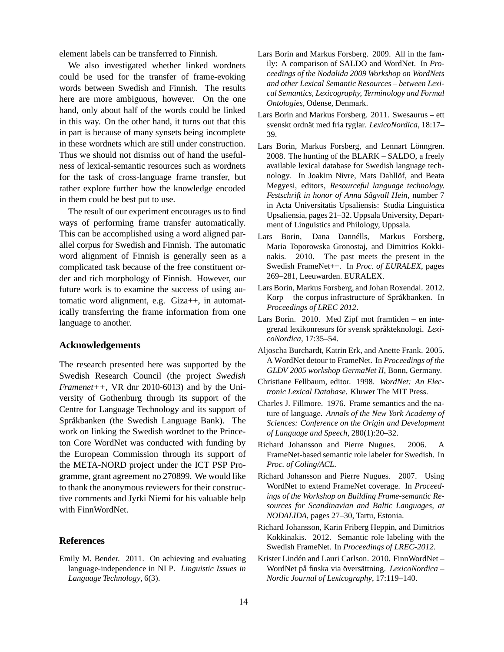element labels can be transferred to Finnish.

We also investigated whether linked wordnets could be used for the transfer of frame-evoking words between Swedish and Finnish. The results here are more ambiguous, however. On the one hand, only about half of the words could be linked in this way. On the other hand, it turns out that this in part is because of many synsets being incomplete in these wordnets which are still under construction. Thus we should not dismiss out of hand the usefulness of lexical-semantic resources such as wordnets for the task of cross-language frame transfer, but rather explore further how the knowledge encoded in them could be best put to use.

The result of our experiment encourages us to find ways of performing frame transfer automatically. This can be accomplished using a word aligned parallel corpus for Swedish and Finnish. The automatic word alignment of Finnish is generally seen as a complicated task because of the free constituent order and rich morphology of Finnish. However, our future work is to examine the success of using automatic word alignment, e.g. Giza++, in automatically transferring the frame information from one language to another.

### **Acknowledgements**

The research presented here was supported by the Swedish Research Council (the project *Swedish Framenet++*, VR dnr 2010-6013) and by the University of Gothenburg through its support of the Centre for Language Technology and its support of Språkbanken (the Swedish Language Bank). The work on linking the Swedish wordnet to the Princeton Core WordNet was conducted with funding by the European Commission through its support of the META-NORD project under the ICT PSP Programme, grant agreement no 270899. We would like to thank the anonymous reviewers for their constructive comments and Jyrki Niemi for his valuable help with FinnWordNet.

### **References**

Emily M. Bender. 2011. On achieving and evaluating language-independence in NLP. *Linguistic Issues in Language Technology*, 6(3).

- Lars Borin and Markus Forsberg. 2009. All in the family: A comparison of SALDO and WordNet. In *Proceedings of the Nodalida 2009 Workshop on WordNets and other Lexical Semantic Resources – between Lexical Semantics, Lexicography, Terminology and Formal Ontologies*, Odense, Denmark.
- Lars Borin and Markus Forsberg. 2011. Swesaurus ett svenskt ordnät med fria tyglar. *LexicoNordica*, 18:17– 39.
- Lars Borin, Markus Forsberg, and Lennart Lönngren. 2008. The hunting of the BLARK – SALDO, a freely available lexical database for Swedish language technology. In Joakim Nivre, Mats Dahllöf, and Beata Megyesi, editors, *Resourceful language technology. Festschrift in honor of Anna Sågvall Hein*, number 7 in Acta Universitatis Upsaliensis: Studia Linguistica Upsaliensia, pages 21–32. Uppsala University, Department of Linguistics and Philology, Uppsala.
- Lars Borin, Dana Dannélls, Markus Forsberg, Maria Toporowska Gronostaj, and Dimitrios Kokkinakis. 2010. The past meets the present in the Swedish FrameNet++. In *Proc. of EURALEX*, pages 269–281, Leeuwarden. EURALEX.
- Lars Borin, Markus Forsberg, and Johan Roxendal. 2012. Korp – the corpus infrastructure of Språkbanken. In *Proceedings of LREC 2012*.
- Lars Borin. 2010. Med Zipf mot framtiden en integrerad lexikonresurs för svensk språkteknologi. *LexicoNordica*, 17:35–54.
- Aljoscha Burchardt, Katrin Erk, and Anette Frank. 2005. A WordNet detour to FrameNet. In *Proceedings of the GLDV 2005 workshop GermaNet II*, Bonn, Germany.
- Christiane Fellbaum, editor. 1998. *WordNet: An Electronic Lexical Database*. Kluwer The MIT Press.
- Charles J. Fillmore. 1976. Frame semantics and the nature of language. *Annals of the New York Academy of Sciences: Conference on the Origin and Development of Language and Speech*, 280(1):20–32.
- Richard Johansson and Pierre Nugues. 2006. A FrameNet-based semantic role labeler for Swedish. In *Proc. of Coling/ACL*.
- Richard Johansson and Pierre Nugues. 2007. Using WordNet to extend FrameNet coverage. In *Proceedings of the Workshop on Building Frame-semantic Resources for Scandinavian and Baltic Languages, at NODALIDA*, pages 27–30, Tartu, Estonia.
- Richard Johansson, Karin Friberg Heppin, and Dimitrios Kokkinakis. 2012. Semantic role labeling with the Swedish FrameNet. In *Proceedings of LREC-2012*.
- Krister Lindén and Lauri Carlson. 2010. FinnWordNet WordNet på finska via översättning. *LexicoNordica – Nordic Journal of Lexicography*, 17:119–140.